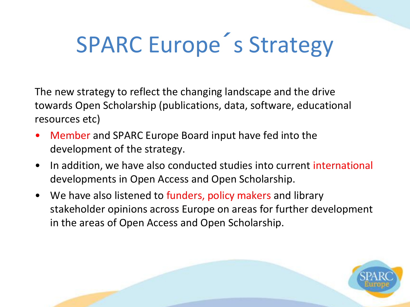# SPARC Europe´s Strategy

The new strategy to reflect the changing landscape and the drive towards Open Scholarship (publications, data, software, educational resources etc)

- Member and SPARC Europe Board input have fed into the development of the strategy.
- In addition, we have also conducted studies into current international developments in Open Access and Open Scholarship.
- We have also listened to funders, policy makers and library stakeholder opinions across Europe on areas for further development in the areas of Open Access and Open Scholarship.

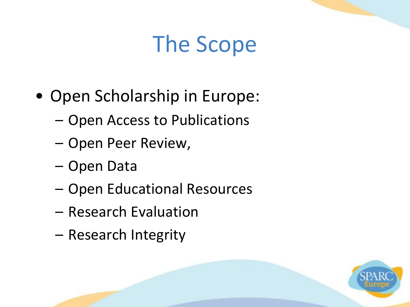## The Scope

- Open Scholarship in Europe:
	- Open Access to Publications
	- Open Peer Review,
	- Open Data
	- Open Educational Resources
	- Research Evaluation
	- Research Integrity

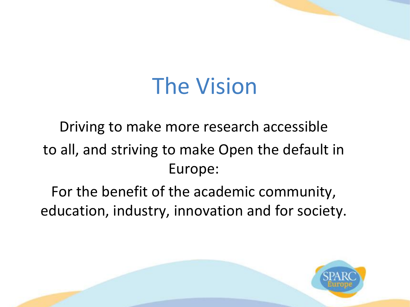### The Vision

#### Driving to make more research accessible to all, and striving to make Open the default in Europe:

For the benefit of the academic community, education, industry, innovation and for society.

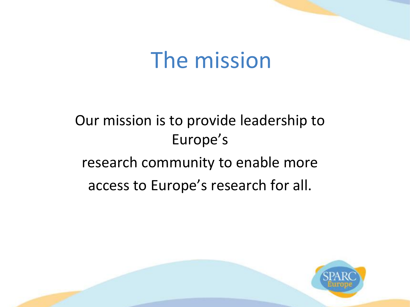#### The mission

#### Our mission is to provide leadership to Europe's research community to enable more access to Europe's research for all.

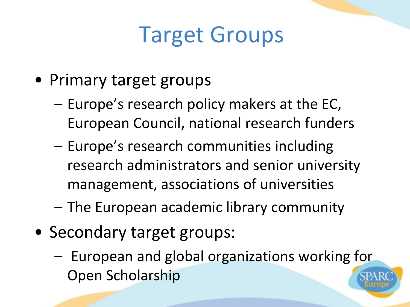## Target Groups

- Primary target groups
	- Europe's research policy makers at the EC, European Council, national research funders
	- Europe's research communities including research administrators and senior university management, associations of universities
	- The European academic library community
- Secondary target groups:
	- European and global organizations working for Open Scholarship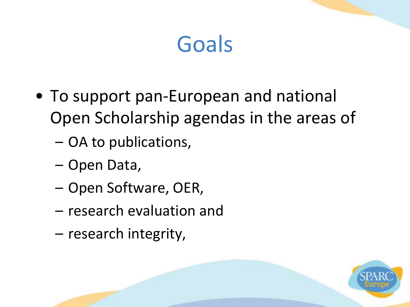- To support pan-European and national Open Scholarship agendas in the areas of
	- OA to publications,
	- Open Data,
	- Open Software, OER,
	- research evaluation and
	- research integrity,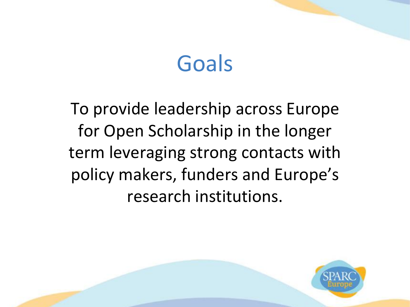To provide leadership across Europe for Open Scholarship in the longer term leveraging strong contacts with policy makers, funders and Europe's research institutions.

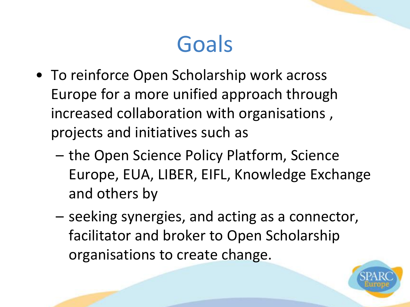- To reinforce Open Scholarship work across Europe for a more unified approach through increased collaboration with organisations , projects and initiatives such as
	- the Open Science Policy Platform, Science Europe, EUA, LIBER, EIFL, Knowledge Exchange and others by
	- seeking synergies, and acting as a connector, facilitator and broker to Open Scholarship organisations to create change.